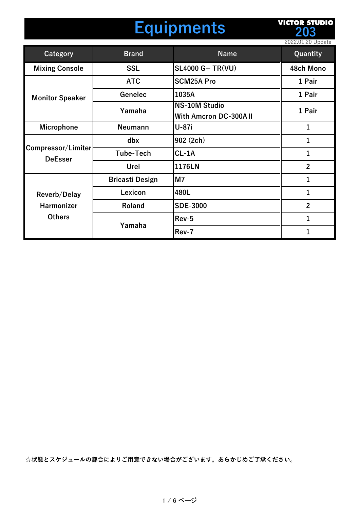## **Equipments**

**VICTOR STUDIO 203**

|                                                    |                        |                                                      | 2022.01.20 Update |
|----------------------------------------------------|------------------------|------------------------------------------------------|-------------------|
| Category                                           | <b>Brand</b>           | <b>Name</b>                                          | Quantity          |
| <b>Mixing Console</b>                              | <b>SSL</b>             | $SL4000 G+TR(VU)$                                    | 48ch Mono         |
|                                                    | <b>ATC</b>             | <b>SCM25A Pro</b>                                    | 1 Pair            |
| <b>Monitor Speaker</b>                             | Genelec                | 1035A                                                | 1 Pair            |
|                                                    | Yamaha                 | <b>NS-10M Studio</b><br><b>With Amcron DC-300AII</b> | 1 Pair            |
| <b>Microphone</b>                                  | <b>Neumann</b>         | <b>U-87i</b>                                         | $\mathbf{1}$      |
| Compressor/Limiter<br><b>DeEsser</b>               | dbx                    | 902 (2ch)                                            | 1                 |
|                                                    | <b>Tube-Tech</b>       | $CL-1A$                                              | 1                 |
|                                                    | Urei                   | 1176LN                                               | $\overline{2}$    |
|                                                    | <b>Bricasti Design</b> | M <sub>7</sub>                                       | $\mathbf{1}$      |
| <b>Reverb/Delay</b><br>Harmonizer<br><b>Others</b> | Lexicon                | 480L                                                 | $\overline{1}$    |
|                                                    | Roland                 | <b>SDE-3000</b>                                      | $\overline{2}$    |
|                                                    | Yamaha                 | Rev-5                                                | $\mathbf{1}$      |
|                                                    |                        | Rev-7                                                | 1                 |

**☆状態とスケジュールの都合によりご⽤意できない場合がございます。あらかじめご了承ください。**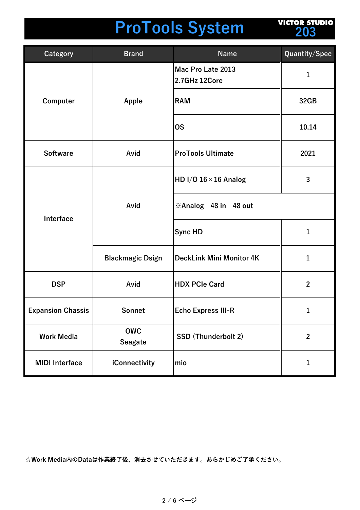# **ProTools System**

**VICTOR STUDIO 203**

| <b>Category</b>          | <b>Brand</b>                 | <b>Name</b>                        | Quantity/Spec  |
|--------------------------|------------------------------|------------------------------------|----------------|
|                          |                              | Mac Pro Late 2013<br>2.7GHz 12Core | 1              |
| Computer                 | Apple                        | <b>RAM</b>                         | 32GB           |
|                          |                              | <b>OS</b>                          | 10.14          |
| <b>Software</b>          | Avid                         | <b>ProTools Ultimate</b>           | 2021           |
| Interface                |                              | HD I/O $16 \times 16$ Analog       | 3              |
|                          | Avid                         | <b>※Analog 48 in 48 out</b>        |                |
|                          |                              | Sync HD                            | $\mathbf{1}$   |
|                          | <b>Blackmagic Dsign</b>      | <b>DeckLink Mini Monitor 4K</b>    | 1              |
| <b>DSP</b>               | Avid                         | <b>HDX PCIe Card</b>               | $\mathbf{2}$   |
| <b>Expansion Chassis</b> | Sonnet                       | <b>Echo Express III-R</b>          | 1              |
| <b>Work Media</b>        | <b>OWC</b><br><b>Seagate</b> | SSD (Thunderbolt 2)                | $\overline{2}$ |
| <b>MIDI</b> Interface    | iConnectivity                | mio                                | 1              |

**☆Work Media内のDataは作業終了後、消去させていただきます。あらかじめご了承ください。**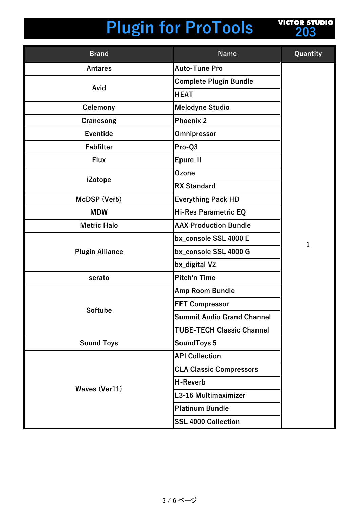

| <b>Brand</b>           | <b>Name</b>                       | Quantity     |
|------------------------|-----------------------------------|--------------|
| <b>Antares</b>         | <b>Auto-Tune Pro</b>              |              |
|                        | <b>Complete Plugin Bundle</b>     |              |
| Avid                   | <b>HEAT</b>                       |              |
| Celemony               | <b>Melodyne Studio</b>            |              |
| Cranesong              | <b>Phoenix 2</b>                  |              |
| <b>Eventide</b>        | Omnipressor                       |              |
| <b>Fabfilter</b>       | Pro-Q3                            |              |
| <b>Flux</b>            | Epure II                          |              |
|                        | <b>Ozone</b>                      |              |
| iZotope                | <b>RX Standard</b>                |              |
| McDSP (Ver5)           | <b>Everything Pack HD</b>         |              |
| <b>MDW</b>             | <b>Hi-Res Parametric EQ</b>       |              |
| <b>Metric Halo</b>     | <b>AAX Production Bundle</b>      |              |
|                        | bx_console SSL 4000 E             |              |
| <b>Plugin Alliance</b> | bx_console SSL 4000 G             | $\mathbf{1}$ |
|                        | bx_digital V2                     |              |
| serato                 | <b>Pitch'n Time</b>               |              |
|                        | <b>Amp Room Bundle</b>            |              |
|                        | <b>FET Compressor</b>             |              |
| <b>Softube</b>         | <b>Summit Audio Grand Channel</b> |              |
|                        | <b>TUBE-TECH Classic Channel</b>  |              |
| <b>Sound Toys</b>      | SoundToys 5                       |              |
|                        | <b>API Collection</b>             |              |
|                        | <b>CLA Classic Compressors</b>    |              |
|                        | <b>H-Reverb</b>                   |              |
| Waves (Ver11)          | L3-16 Multimaximizer              |              |
|                        | <b>Platinum Bundle</b>            |              |
|                        | <b>SSL 4000 Collection</b>        |              |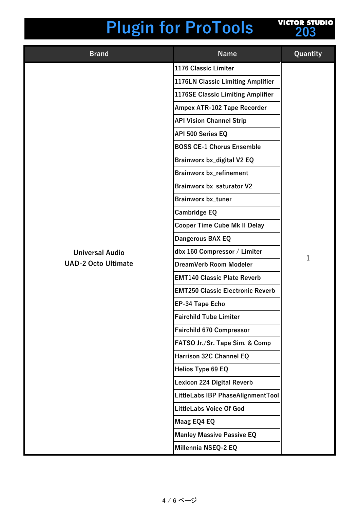

| <b>Brand</b>               | <b>Name</b>                             | Quantity     |
|----------------------------|-----------------------------------------|--------------|
|                            | 1176 Classic Limiter                    |              |
|                            | 1176LN Classic Limiting Amplifier       |              |
|                            | 1176SE Classic Limiting Amplifier       |              |
|                            | Ampex ATR-102 Tape Recorder             |              |
|                            | <b>API Vision Channel Strip</b>         |              |
|                            | API 500 Series EQ                       |              |
|                            | <b>BOSS CE-1 Chorus Ensemble</b>        |              |
|                            | Brainworx bx_digital V2 EQ              |              |
|                            | <b>Brainworx bx_refinement</b>          |              |
|                            | <b>Brainworx bx_saturator V2</b>        |              |
|                            | <b>Brainworx bx_tuner</b>               |              |
|                            | <b>Cambridge EQ</b>                     |              |
|                            | <b>Cooper Time Cube Mk II Delay</b>     |              |
|                            | Dangerous BAX EQ                        |              |
| <b>Universal Audio</b>     | dbx 160 Compressor / Limiter            | $\mathbf{1}$ |
| <b>UAD-2 Octo Ultimate</b> | DreamVerb Room Modeler                  |              |
|                            | <b>EMT140 Classic Plate Reverb</b>      |              |
|                            | <b>EMT250 Classic Electronic Reverb</b> |              |
|                            | <b>EP-34 Tape Echo</b>                  |              |
|                            | <b>Fairchild Tube Limiter</b>           |              |
|                            | <b>Fairchild 670 Compressor</b>         |              |
|                            | FATSO Jr./Sr. Tape Sim. & Comp          |              |
|                            | Harrison 32C Channel EQ                 |              |
|                            | <b>Helios Type 69 EQ</b>                |              |
|                            | <b>Lexicon 224 Digital Reverb</b>       |              |
|                            | LittleLabs IBP PhaseAlignmentTool       |              |
|                            | <b>LittleLabs Voice Of God</b>          |              |
|                            | Maag EQ4 EQ                             |              |
|                            | <b>Manley Massive Passive EQ</b>        |              |
|                            | Millennia NSEQ-2 EQ                     |              |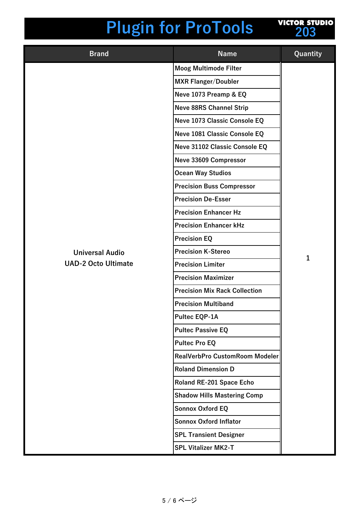| <b>VICTOR STUDIO</b> |     |  |  |
|----------------------|-----|--|--|
|                      | 203 |  |  |
|                      |     |  |  |

| <b>Brand</b>               | <b>Name</b>                          | Quantity     |
|----------------------------|--------------------------------------|--------------|
|                            | <b>Moog Multimode Filter</b>         |              |
|                            | <b>MXR Flanger/Doubler</b>           |              |
|                            | Neve 1073 Preamp & EQ                |              |
|                            | <b>Neve 88RS Channel Strip</b>       |              |
|                            | Neve 1073 Classic Console EQ         |              |
|                            | Neve 1081 Classic Console EQ         |              |
|                            | Neve 31102 Classic Console EQ        |              |
|                            | Neve 33609 Compressor                |              |
|                            | <b>Ocean Way Studios</b>             |              |
|                            | <b>Precision Buss Compressor</b>     |              |
|                            | <b>Precision De-Esser</b>            |              |
|                            | <b>Precision Enhancer Hz</b>         |              |
|                            | <b>Precision Enhancer kHz</b>        |              |
|                            | <b>Precision EQ</b>                  |              |
| <b>Universal Audio</b>     | <b>Precision K-Stereo</b>            | $\mathbf{1}$ |
| <b>UAD-2 Octo Ultimate</b> | <b>Precision Limiter</b>             |              |
|                            | <b>Precision Maximizer</b>           |              |
|                            | <b>Precision Mix Rack Collection</b> |              |
|                            | <b>Precision Multiband</b>           |              |
|                            | Pultec EQP-1A                        |              |
|                            | <b>Pultec Passive EQ</b>             |              |
|                            | <b>Pultec Pro EQ</b>                 |              |
|                            | RealVerbPro CustomRoom Modeler       |              |
|                            | <b>Roland Dimension D</b>            |              |
|                            | Roland RE-201 Space Echo             |              |
|                            | <b>Shadow Hills Mastering Comp</b>   |              |
|                            | <b>Sonnox Oxford EQ</b>              |              |
|                            | <b>Sonnox Oxford Inflator</b>        |              |
|                            | <b>SPL Transient Designer</b>        |              |
|                            | <b>SPL Vitalizer MK2-T</b>           |              |